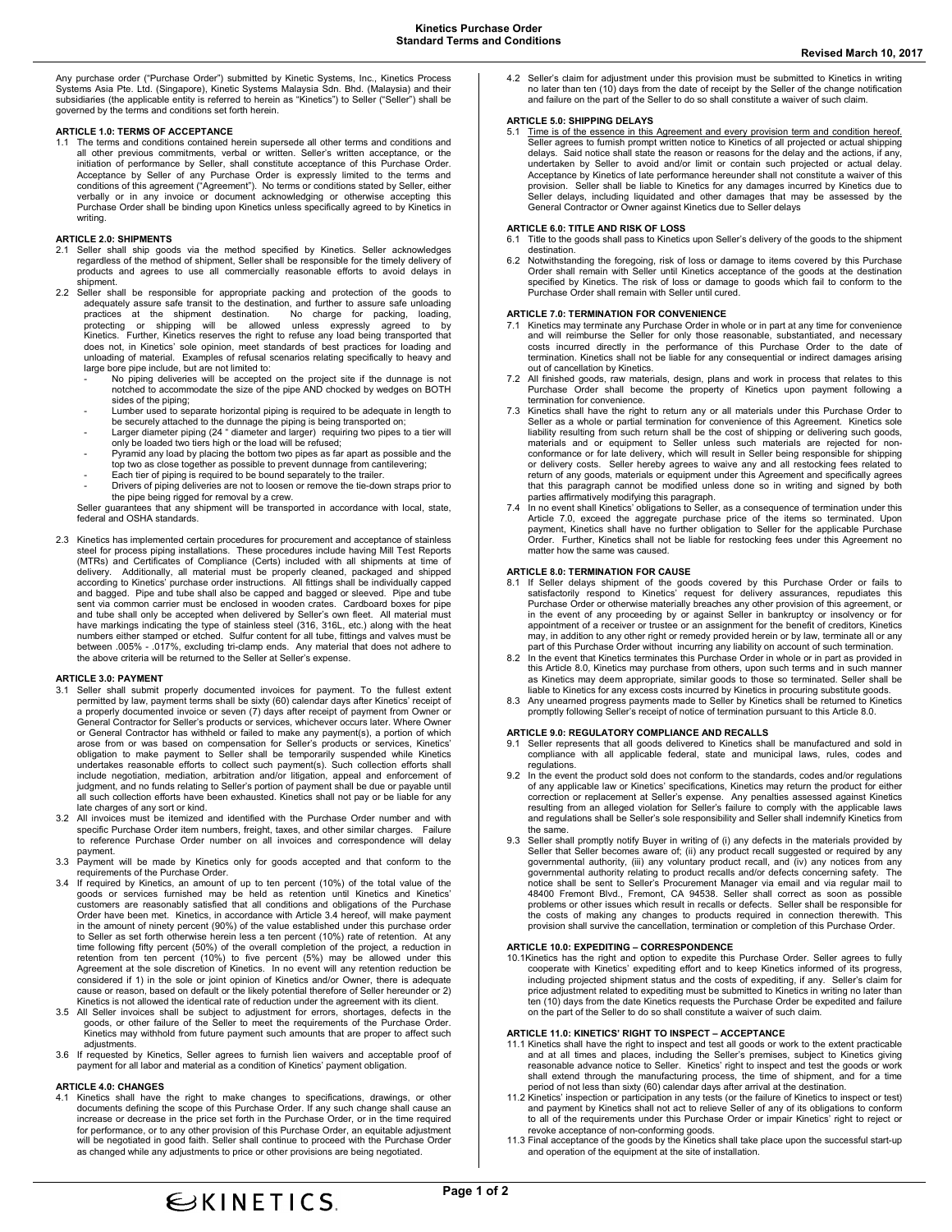Any purchase order ("Purchase Order") submitted by Kinetic Systems, Inc., Kinetics Process Systems Asia Pte. Ltd. (Singapore), Kinetic Systems Malaysia Sdn. Bhd. (Malaysia) and their subsidiaries (the applicable entity is referred to herein as "Kinetics") to Seller ("Seller") shall be governed by the terms and conditions set forth herein.

### **ARTICLE 1.0: TERMS OF ACCEPTANCE**

1.1 The terms and conditions contained herein supersede all other terms and conditions and all other previous commitments, verbal or written. Seller's written acceptance, or the initiation of performance by Seller, shall constitute acceptance of this Purchase Order. Acceptance by Seller of any Purchase Order is expressly limited to the terms and<br>conditions of this agreement ("Agreement"). No terms or conditions stated by Seller, either<br>verbally or in any invoice or document acknowledg writing.

# **ARTICLE 2.0: SHIPMENTS**

- 2.1 Seller shall ship goods via the method specified by Kinetics. Seller acknowledges regardless of the method of shipment, Seller shall be responsible for the timely delivery of products and agrees to use all commercially reasonable efforts to avoid delays in shipment.
- 2.2 Seller shall be responsible for appropriate packing and protection of the goods to adequately assure safe transit to the destination, and further to assure safe unloading practices at the shipment destination. No charge for packing, loading, protecting or shipping will be allowed unless expressly agreed to by Kinetics. Further, Kinetics reserves the right to refuse any load being transported that does not, in Kinetics' sole opinion, meet standards of best practices for loading and unloading of material. Examples of refusal scenarios relating specifically to heavy and large bore pipe include, but are not limited to:
	- No piping deliveries will be accepted on the project site if the dunnage is not notched to accommodate the size of the pipe AND chocked by wedges on BOTH sides of the piping;
	- Lumber used to separate horizontal piping is required to be adequate in length to
	- be securely attached to the dunnage the piping is being transported on;<br>Larger diameter piping (24 " diameter and larger) requiring two pipes to a tier will<br>only be loaded two tiers high or the load will be refused;
	- Pyramid any load by placing the bottom two pipes as far apart as possible and the top two as close together as possible to prevent dunnage from cantilevering;
	- Each tier of piping is required to be bound separately to the trailer.
	- Drivers of piping deliveries are not to loosen or remove the tie-down straps prior to

the pipe being rigged for removal by a crew. Seller guarantees that any shipment will be transported in accordance with local, state,

federal and OSHA standards.

2.3 Kinetics has implemented certain procedures for procurement and acceptance of stainless steel for process piping installations. These procedures include having Mill Test Reports (MTRs) and Certificates of Compliance (Certs) included with all shipments at time of<br>delivery. Additionally, all material must be properly cleaned, packaged and shipped<br>according to Kinetics' purchase order instructions. and bagged. Pipe and tube shall also be capped and bagged or sleeved. Pipe and tube sent via common carrier must be enclosed in wooden crates. Cardboard boxes for pipe and tube shall only be accepted when delivered by Seller's own fleet. All material must have markings indicating the type of stainless steel (316, 316L, etc.) along with the heat numbers either stamped or etched. Sulfur content for all tube, fittings and valves must be between .005% - .017%, excluding tri-clamp ends. Any material that does not adhere to the above criteria will be returned to the Seller at Seller's expense.

#### **ARTICLE 3.0: PAYMENT**

- Seller shall submit properly documented invoices for payment. To the fullest extent permitted by law, payment terms shall be sixty (60) calendar days after Kinetics' receipt of<br>a properly documented invoice or seven (7) days after receipt of payment from Owner or<br>General Contractor for Seller's products o or General Contractor has withheld or failed to make any payment(s), a portion of which arose from or was based on compensation for Seller's products or services, Kinetics' obligation to make payment to Seller shall be temporarily suspended while Kinetics undertakes reasonable efforts to collect such payment(s). Such collection efforts shall include negotiation, mediation, arbitration and/or litigation, appeal and enforcement of judgment, and no funds relating to Seller's portion of payment shall be due or payable until all such collection efforts have been exhausted. Kinetics shall not pay or be liable for any late charges of any sort or kind.
- 3.2 All invoices must be itemized and identified with the Purchase Order number and with specific Purchase Order item numbers, freight, taxes, and other similar charges. Failure to reference Purchase Order number on all invoices and correspondence will delay payment.
- 3.3 Payment will be made by Kinetics only for goods accepted and that conform to the requirements of the Purchase Order.
- 3.4 If required by Kinetics, an amount of up to ten percent (10%) of the total value of the goods or services furnished may be held as retention until Kinetics and Kinetics' customers are reasonably satisfied that all conditions and obligations of the Purchase Order have been met. Kinetics, in accordance with Article 3.4 hereof, will make payment in the amount of ninety percent (90%) of the value established under this purchase order to Seller as set forth otherwise herein less a ten percent (10%) rate of retention. At any time following fifty percent (50%) of the overall completion of the project, a reduction in<br>retention from ten percent (10%) to five percent (5%) may be allowed under this<br>Agreement at the sole discretion of Kinetics. In n considered if 1) in the sole or joint opinion of Kinetics and/or Owner, there is adequate cause or reason, based on default or the likely potential therefore of Seller hereunder or 2) Kinetics is not allowed the identical rate of reduction under the agreement with its client.
- 3.5 All Seller invoices shall be subject to adjustment for errors, shortages, defects in the goods, or other failure of the Seller to meet the requirements of the Purchase Order. Kinetics may withhold from future payment such amounts that are proper to affect such adiustments.
- 3.6 If requested by Kinetics, Seller agrees to furnish lien waivers and acceptable proof of payment for all labor and material as a condition of Kinetics' payment obligation.

## **ARTICLE 4.0: CHANGES**

4.1 Kinetics shall have the right to make changes to specifications, drawings, or other<br>documents defining the scope of this Purchase Order. If any such change shall cause an<br>increase or decrease in the price set forth in for performance, or to any other provision of this Purchase Order, an equitable adjustment will be negotiated in good faith. Seller shall continue to proceed with the Purchase Order as changed while any adjustments to price or other provisions are being negotiated.

4.2 Seller's claim for adjustment under this provision must be submitted to Kinetics in writing no later than ten (10) days from the date of receipt by the Seller of the change notification and failure on the part of the Seller to do so shall constitute a waiver of such claim.

# **ARTICLE 5.0: SHIPPING DELAYS**

5.1 Time is of the essence in this Agreement and every provision term and condition hereof. Seller agrees to furnish prompt written notice to Kinetics of all projected or actual shipping delays. Said notice shall state the reason or reasons for the delay and the actions, if any, undertaken by Seller to avoid and/or limit or contain such projected or actual delay. Acceptance by Kinetics of late performance hereunder shall not constitute a waiver of this provision. Seller shall be liable to Kinetics for any damages incurred by Kinetics due to Seller delays, including liquidated and other damages that may be assessed by the General Contractor or Owner against Kinetics due to Seller delays

## **ARTICLE 6.0: TITLE AND RISK OF LOSS**

- 6.1 Title to the goods shall pass to Kinetics upon Seller's delivery of the goods to the shipment destination.
- 6.2 Notwithstanding the foregoing, risk of loss or damage to items covered by this Purchase Order shall remain with Seller until Kinetics acceptance of the goods at the destination specified by Kinetics. The risk of loss or damage to goods which fail to conform to the Purchase Order shall remain with Seller until cured.

# **ARTICLE 7.0: TERMINATION FOR CONVENIENCE**

- 7.1 Kinetics may terminate any Purchase Order in whole or in part at any time for convenience and will reimburse the Seller for only those reasonable, substantiated, and necessary<br>costs incurred directly in the performance of this Purchase Order to the date of<br>termination. Kinetics shall not be liable for any conse out of cancellation by Kinetics.
- 7.2 All finished goods, raw materials, design, plans and work in process that relates to this Purchase Order shall become the property of Kinetics upon payment following a termination for convenience.
- 7.3 Kinetics shall have the right to return any or all materials under this Purchase Order to Seller as a whole or partial termination for convenience of this Agreement. Kinetics sole liability resulting from such return shall be the cost of shipping or delivering such goods, materials and or equipment to Seller unless such materials are rejected for conformance or for late delivery, which will result in Seller being responsible for shipping or delivery costs. Seller hereby agrees to waive any and all restocking fees related to return of any goods, materials or equipment under this Agreement and specifically agrees that this paragraph cannot be modified unless done so in writing and signed by both parties affirmatively modifying this paragraph.
- 7.4 In no event shall Kinetics' obligations to Seller, as a consequence of termination under this Article 7.0, exceed the aggregate purchase price of the items so terminated. Upon payment, Kinetics shall have no further obligation to Seller for the applicable Purchase Order. Further, Kinetics shall not be liable for restocking fees under this Agreement no matter how the same was caused.

## **ARTICLE 8.0: TERMINATION FOR CAUSE**

- 8.1 If Seller delays shipment of the goods covered by this Purchase Order or fails to satisfactorily respond to Kinetics' request for delivery assurances, repudiates this Purchase Order or otherwise materially breaches any other provision of this agreement, or in the event of any proceeding by or against Seller in bankruptcy or insolvency or for appointment of a receiver or trustee or an assignment for the benefit of creditors, Kinetics may, in addition to any other right or remedy provided herein or by law, terminate all or any
- part of this Purchase Order without incurring any liability on account of such termination. 8.2 In the event that Kinetics terminates this Purchase Order in whole or in part as provided in this Article 8.0, Kinetics may purchase from others, upon such terms and in such manner as Kinetics may deem appropriate, similar goods to those so terminated. Seller shall be liable to Kinetics for any excess costs incurred by Kinetics in procuring substitute goods.
- 8.3 Any unearned progress payments made to Seller by Kinetics shall be returned to Kinetics promptly following Seller's receipt of notice of termination pursuant to this Article 8.0.

#### **ARTICLE 9.0: REGULATORY COMPLIANCE AND RECALLS**

- 9.1 Seller represents that all goods delivered to Kinetics shall be manufactured and sold in compliance with all applicable federal, state and municipal laws, rules, codes and regulations.
- 9.2 In the event the product sold does not conform to the standards, codes and/or regulations of any applicable law or Kinetics' specifications, Kinetics may return the product for either correction or replacement at Seller's expense. Any penalties assessed against Kinetics resulting from an alleged violation for Seller's failure to comply with the applicable laws and regulations shall be Seller's sole responsibility and Seller shall indemnify Kinetics from the same.
- 9.3 Seller shall promptly notify Buyer in writing of (i) any defects in the materials provided by Seller that Seller becomes aware of; (ii) any product recall suggested or required by any governmental authority, (iii) any voluntary product recall, and (iv) any notices from any governmental authority relating to product recalls and/or defects concerning safety. The notice shall be sent to Seller's Procurement Manager via email and via regular mail to 48400 Fremont Blvd., Fremont, CA 94538. Seller shall correct as soon as possible problems or other issues which result in recalls or defects. Seller shall be responsible for the costs of making any changes to products required in connection therewith. This provision shall survive the cancellation, termination or completion of this Purchase Order.

### **ARTICLE 10.0: EXPEDITING – CORRESPONDENCE**

10.1Kinetics has the right and option to expedite this Purchase Order. Seller agrees to fully cooperate with Kinetics' expediting effort and to keep Kinetics informed of its progress, including projected shipment status and the costs of expediting, if any. Seller's claim for price adjustment related to expediting must be submitted to Kinetics in writing no later than ten (10) days from the date Kinetics requests the Purchase Order be expedited and failure on the part of the Seller to do so shall constitute a waiver of such claim.

## **ARTICLE 11.0: KINETICS' RIGHT TO INSPECT – ACCEPTANCE**

- 11.1 Kinetics shall have the right to inspect and test all goods or work to the extent practicable and at all times and places, including the Seller's premises, subject to Kinetics giving reasonable advance notice to Selle period of not less than sixty (60) calendar days after arrival at the destination.
- 11.2 Kinetics' inspection or participation in any tests (or the failure of Kinetics to inspect or test) and payment by Kinetics shall not act to relieve Seller of any of its obligations to conform to all of the requirements under this Purchase Order or impair Kinetics' right to reject or
- revoke acceptance of non-conforming goods. 11.3 Final acceptance of the goods by the Kinetics shall take place upon the successful start-up and operation of the equipment at the site of installation.